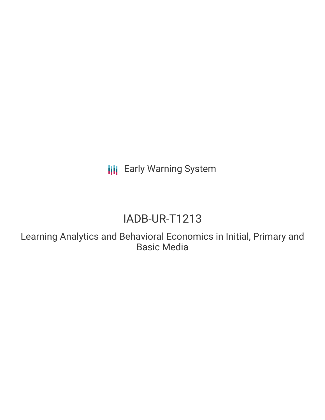**III** Early Warning System

# IADB-UR-T1213

Learning Analytics and Behavioral Economics in Initial, Primary and Basic Media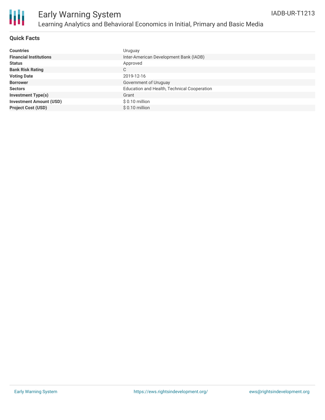

#### **Quick Facts**

| <b>Countries</b>               | Uruguay                                     |
|--------------------------------|---------------------------------------------|
| <b>Financial Institutions</b>  | Inter-American Development Bank (IADB)      |
| <b>Status</b>                  | Approved                                    |
| <b>Bank Risk Rating</b>        | С                                           |
| <b>Voting Date</b>             | 2019-12-16                                  |
| <b>Borrower</b>                | Government of Uruguay                       |
| <b>Sectors</b>                 | Education and Health, Technical Cooperation |
| <b>Investment Type(s)</b>      | Grant                                       |
| <b>Investment Amount (USD)</b> | $$0.10$ million                             |
| <b>Project Cost (USD)</b>      | $$0.10$ million                             |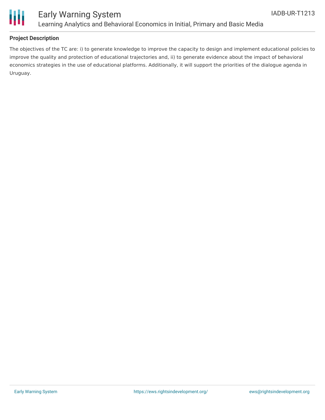

### Early Warning System Learning Analytics and Behavioral Economics in Initial, Primary and Basic Media

#### **Project Description**

The objectives of the TC are: i) to generate knowledge to improve the capacity to design and implement educational policies to improve the quality and protection of educational trajectories and, ii) to generate evidence about the impact of behavioral economics strategies in the use of educational platforms. Additionally, it will support the priorities of the dialogue agenda in Uruguay.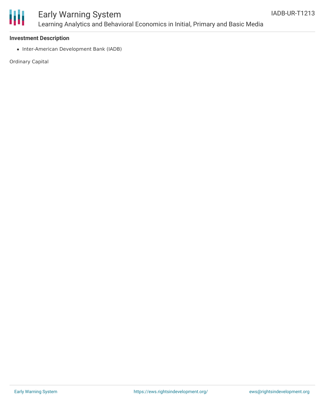

## Early Warning System Learning Analytics and Behavioral Economics in Initial, Primary and Basic Media

#### **Investment Description**

• Inter-American Development Bank (IADB)

Ordinary Capital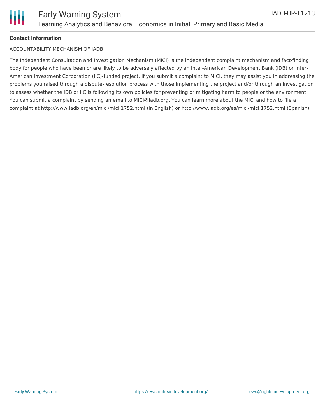

#### **Contact Information**

#### ACCOUNTABILITY MECHANISM OF IADB

The Independent Consultation and Investigation Mechanism (MICI) is the independent complaint mechanism and fact-finding body for people who have been or are likely to be adversely affected by an Inter-American Development Bank (IDB) or Inter-American Investment Corporation (IIC)-funded project. If you submit a complaint to MICI, they may assist you in addressing the problems you raised through a dispute-resolution process with those implementing the project and/or through an investigation to assess whether the IDB or IIC is following its own policies for preventing or mitigating harm to people or the environment. You can submit a complaint by sending an email to MICI@iadb.org. You can learn more about the MICI and how to file a complaint at http://www.iadb.org/en/mici/mici,1752.html (in English) or http://www.iadb.org/es/mici/mici,1752.html (Spanish).